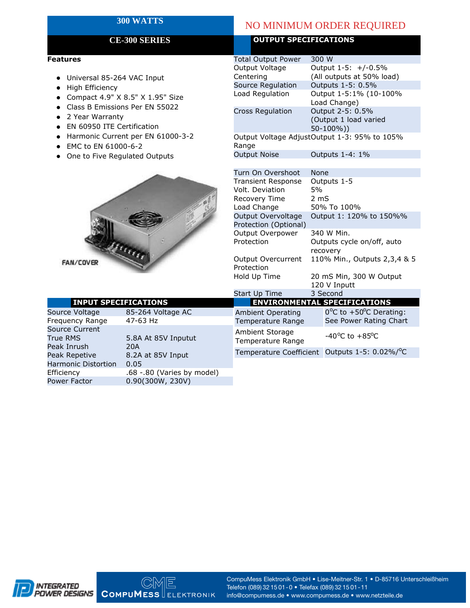#### **Features**

- $\bullet$  Universal 85-264 VAC Input
- $\bullet$  High Efficiency
- 
- 
- 
- EN 60950 ITE Certification
- Harmonic Current per EN 61000-3-2
- $\bullet$  EMC to EN 61000-6-2
- $\bullet$  One to Five Regulated Outputs



| <b>INPUT SPECIFICATIONS</b>               |                               | <b>ENVIRONMENTAL SPECIFICATIONS</b>           |                                                                       |  |  |  |
|-------------------------------------------|-------------------------------|-----------------------------------------------|-----------------------------------------------------------------------|--|--|--|
| Source Voltage<br>Frequency Range         | 85-264 Voltage AC<br>47-63 Hz | <b>Ambient Operating</b><br>Temperature Range | $0^{\circ}$ C to +50 $^{\circ}$ C Derating:<br>See Power Rating Chart |  |  |  |
| Source Current<br>True RMS<br>Peak Inrush | 5.8A At 85V Inputut<br>20A    | Ambient Storage<br>Temperature Range          | -40 <sup>o</sup> C to +85 <sup>o</sup> C                              |  |  |  |
| Peak Repetive                             | 8.2A at 85V Input             | Temperature Coefficient                       | Outputs 1-5: 0.02%/°C                                                 |  |  |  |
| <b>Harmonic Distortion</b>                | 0.05                          |                                               |                                                                       |  |  |  |
| Efficiency                                | .68 -.80 (Varies by model)    |                                               |                                                                       |  |  |  |
| Power Factor                              | 0.90(300W, 230V)              |                                               |                                                                       |  |  |  |

## **300 WATTS** NO MINIMUM ORDER REQUIRED

### **CE-300 SERIES OUTPUT SPECIFICATIONS**

| ıres                                                                                                                                                                            |                                      | <b>Total Output Power</b>                             | 300 W                                                    |  |  |
|---------------------------------------------------------------------------------------------------------------------------------------------------------------------------------|--------------------------------------|-------------------------------------------------------|----------------------------------------------------------|--|--|
|                                                                                                                                                                                 |                                      | Output Voltage                                        | Output 1-5: +/-0.5%<br>(All outputs at 50% load)         |  |  |
| Universal 85-264 VAC Input                                                                                                                                                      |                                      | Centering                                             |                                                          |  |  |
| High Efficiency                                                                                                                                                                 |                                      | Source Regulation                                     | Outputs 1-5: 0.5%                                        |  |  |
|                                                                                                                                                                                 |                                      | Load Regulation                                       | Output 1-5:1% (10-100%                                   |  |  |
| Compact 4.9" X 8.5" X 1.95" Size<br>Class B Emissions Per EN 55022<br>2 Year Warranty<br>EN 60950 ITE Certification<br>Harmonic Current per EN 61000-3-2<br>EMC to EN 61000-6-2 |                                      |                                                       | Load Change)                                             |  |  |
|                                                                                                                                                                                 |                                      | <b>Cross Regulation</b>                               | Output 2-5: 0.5%<br>(Output 1 load varied<br>$50-100\%)$ |  |  |
|                                                                                                                                                                                 |                                      |                                                       |                                                          |  |  |
|                                                                                                                                                                                 |                                      |                                                       |                                                          |  |  |
|                                                                                                                                                                                 |                                      | Output Voltage AdjustOutput 1-3: 95% to 105%<br>Range |                                                          |  |  |
|                                                                                                                                                                                 |                                      |                                                       |                                                          |  |  |
|                                                                                                                                                                                 |                                      |                                                       |                                                          |  |  |
|                                                                                                                                                                                 |                                      | Turn On Overshoot                                     | <b>None</b>                                              |  |  |
|                                                                                                                                                                                 |                                      | <b>Transient Response</b>                             | Outputs 1-5                                              |  |  |
|                                                                                                                                                                                 |                                      | Volt. Deviation                                       | 5%                                                       |  |  |
|                                                                                                                                                                                 |                                      | Recovery Time                                         | 2 <sub>m</sub>                                           |  |  |
|                                                                                                                                                                                 |                                      | Load Change                                           | 50% To 100%                                              |  |  |
|                                                                                                                                                                                 |                                      | Output Overvoltage                                    | Output 1: 120% to 150%%                                  |  |  |
|                                                                                                                                                                                 |                                      | Protection (Optional)                                 |                                                          |  |  |
|                                                                                                                                                                                 |                                      | Output Overpower                                      | 340 W Min.                                               |  |  |
|                                                                                                                                                                                 |                                      | Protection                                            | Outputs cycle on/off, auto<br>recovery                   |  |  |
|                                                                                                                                                                                 |                                      |                                                       |                                                          |  |  |
| <b>AN/COVER</b><br><b>INPUT SPECIFICATIONS</b>                                                                                                                                  |                                      | Output Overcurrent                                    | 110% Min., Outputs 2,3,4 & 5                             |  |  |
|                                                                                                                                                                                 |                                      | Protection                                            |                                                          |  |  |
|                                                                                                                                                                                 |                                      | Hold Up Time                                          | 20 mS Min, 300 W Output                                  |  |  |
|                                                                                                                                                                                 |                                      |                                                       | 120 V Inputt                                             |  |  |
|                                                                                                                                                                                 |                                      | Start Up Time                                         | 3 Second                                                 |  |  |
|                                                                                                                                                                                 |                                      |                                                       | <b>ENVIRONMENTAL SPECIFICATIONS</b>                      |  |  |
| e Voltage                                                                                                                                                                       | 85-264 Voltage AC                    | <b>Ambient Operating</b>                              | 0°C to +50°C Derating:                                   |  |  |
| ency Range                                                                                                                                                                      | 47-63 Hz                             | Temperature Range                                     | See Power Rating Chart                                   |  |  |
| e Current                                                                                                                                                                       | 5.8A At 85V Inputut                  | Ambient Storage                                       | $-40^{\circ}$ C to $+85^{\circ}$ C                       |  |  |
| <b>RMS</b>                                                                                                                                                                      |                                      | Temperature Range                                     |                                                          |  |  |
| Inrush                                                                                                                                                                          | 20A                                  |                                                       | Temperature Coefficient Outputs 1-5: 0.02%/°C            |  |  |
| $D - n - 1$                                                                                                                                                                     | $0.21 \times 0.011$ $\text{L}_{max}$ |                                                       |                                                          |  |  |



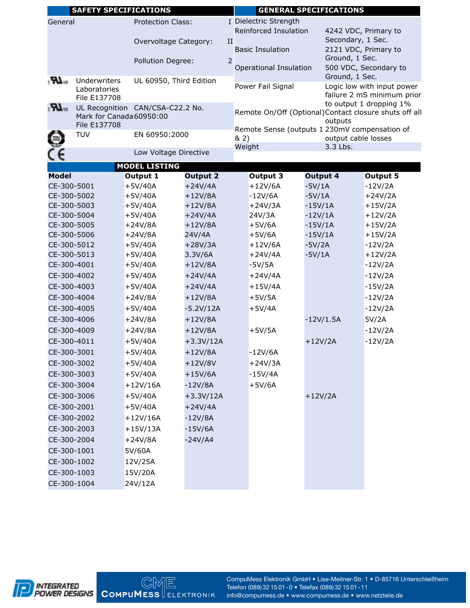|                                     | <b>SAFETY SPECIFICATIONS</b>                            |                                  |                 |                       | <b>GENERAL SPECIFICATIONS</b> |                                                 |                   |                                                                                   |                                        |  |
|-------------------------------------|---------------------------------------------------------|----------------------------------|-----------------|-----------------------|-------------------------------|-------------------------------------------------|-------------------|-----------------------------------------------------------------------------------|----------------------------------------|--|
| <b>Protection Class:</b><br>General |                                                         |                                  |                 | I Dielectric Strength |                               |                                                 |                   |                                                                                   |                                        |  |
|                                     |                                                         |                                  |                 |                       |                               | Reinforced Insulation                           |                   | 4242 VDC, Primary to                                                              |                                        |  |
| Overvoltage Category:               |                                                         | II                               |                 |                       |                               |                                                 | Secondary, 1 Sec. |                                                                                   |                                        |  |
|                                     |                                                         |                                  |                 |                       | <b>Basic Insulation</b>       |                                                 |                   |                                                                                   | 2121 VDC, Primary to<br>Ground, 1 Sec. |  |
|                                     | Pollution Degree:                                       |                                  |                 | 2                     |                               | 500 VDC, Secondary to<br>Operational Insulation |                   |                                                                                   |                                        |  |
| $_{\circ}$ LR                       |                                                         |                                  |                 |                       |                               |                                                 |                   | Ground, 1 Sec.                                                                    |                                        |  |
|                                     | Underwriters<br>UL 60950, Third Edition<br>Laboratories |                                  |                 |                       | Power Fail Signal             |                                                 |                   | Logic low with input power                                                        |                                        |  |
|                                     | File E137708                                            |                                  |                 |                       |                               |                                                 |                   | failure 2 mS minimum prior                                                        |                                        |  |
| $\boldsymbol{\mathcal{H}}$ as       |                                                         | UL Recognition CAN/CSA-C22.2 No. |                 |                       |                               |                                                 |                   | to output 1 dropping 1%<br>Remote On/Off (Optional) Contact closure shuts off all |                                        |  |
|                                     | Mark for Canada 60950:00<br>File E137708                |                                  |                 |                       | outputs                       |                                                 |                   |                                                                                   |                                        |  |
|                                     | <b>TUV</b>                                              | EN 60950:2000                    |                 |                       |                               |                                                 |                   | Remote Sense (outputs 1 230mV compensation of                                     |                                        |  |
|                                     |                                                         |                                  |                 |                       | & 2)<br>Weight                |                                                 |                   | 3.3 Lbs.                                                                          | output cable losses                    |  |
| ce                                  |                                                         | Low Voltage Directive            |                 |                       |                               |                                                 |                   |                                                                                   |                                        |  |
|                                     |                                                         | <b>MODEL LISTING</b>             |                 |                       |                               |                                                 |                   |                                                                                   |                                        |  |
| <b>Model</b>                        |                                                         | Output 1                         | <b>Output 2</b> |                       |                               | Output 3                                        | <b>Output 4</b>   |                                                                                   | <b>Output 5</b>                        |  |
| CE-300-5001                         |                                                         | $+5V/40A$                        | $+24V/4A$       |                       |                               | $+12V/6A$                                       | $-5V/1A$          |                                                                                   | $-12V/2A$                              |  |
| CE-300-5002                         |                                                         | $+5V/40A$                        | $+12V/8A$       |                       |                               | $-12V/6A$                                       | $-5V/1A$          |                                                                                   | $+24V/2A$                              |  |
| CE-300-5003                         |                                                         | $+5V/40A$                        | $+12V/8A$       |                       |                               | $+24V/3A$                                       | $-15V/1A$         |                                                                                   | $+15V/2A$                              |  |
| CE-300-5004                         |                                                         | $+5V/40A$                        | $+24V/4A$       |                       |                               | 24V/3A                                          | $-12V/1A$         |                                                                                   | $+12V/2A$                              |  |
| CE-300-5005                         |                                                         | $+24V/8A$                        | $+12V/8A$       |                       |                               | $+5V/6A$                                        | $-15V/1A$         |                                                                                   | $+15V/2A$                              |  |
| CE-300-5006                         |                                                         | $+24V/8A$                        | 24V/4A          |                       |                               | $+5V/6A$                                        | $-15V/1A$         |                                                                                   | $+15V/2A$                              |  |
| CE-300-5012                         |                                                         | $+5V/40A$                        | $+28V/3A$       |                       |                               | $+12V/6A$                                       | $-5V/2A$          |                                                                                   | $-12V/2A$                              |  |
| CE-300-5013                         |                                                         | $+5V/40A$                        | 3.3V/6A         |                       |                               | $+24V/4A$                                       | $-5V/1A$          |                                                                                   | $+12V/2A$                              |  |
| CE-300-4001                         |                                                         | $+5V/40A$                        | $+12V/8A$       |                       |                               | $-5V/5A$                                        |                   |                                                                                   | $-12V/2A$                              |  |
| CE-300-4002                         |                                                         | $+5V/40A$                        | $+24V/4A$       |                       |                               | $+24V/4A$                                       |                   |                                                                                   | $-12V/2A$                              |  |
| CE-300-4003                         |                                                         | $+5V/40A$                        | $+24V/4A$       |                       |                               | $+15V/4A$                                       |                   |                                                                                   | $-15V/2A$                              |  |
| CE-300-4004                         |                                                         | $+24V/8A$                        | $+12V/8A$       |                       |                               | $+5V/5A$                                        |                   |                                                                                   | $-12V/2A$                              |  |
| CE-300-4005                         |                                                         | $+5V/40A$                        | $-5.2V/12A$     |                       |                               | $+5V/4A$                                        |                   |                                                                                   | $-12V/2A$                              |  |
| CE-300-4006                         |                                                         | $+24V/8A$                        | $+12V/8A$       |                       |                               |                                                 |                   | $-12V/1.5A$                                                                       | 5V/2A                                  |  |
| CE-300-4009                         |                                                         | $+24V/8A$                        | $+12V/8A$       |                       |                               | $+5V/5A$                                        |                   |                                                                                   | $-12V/2A$                              |  |
| CE-300-4011                         |                                                         | $+5V/40A$                        | $+3.3V/12A$     |                       |                               |                                                 | $+12V/2A$         |                                                                                   | $-12V/2A$                              |  |
| CE-300-3001                         |                                                         | $+5V/40A$                        | $+12V/8A$       |                       |                               | $-12V/6A$                                       |                   |                                                                                   |                                        |  |
| CE-300-3002                         |                                                         | $+5V/40A$                        | $+12V/8V$       |                       |                               | $+24V/3A$                                       |                   |                                                                                   |                                        |  |
| CE-300-3003                         |                                                         | $+5V/40A$                        | $+15V/6A$       |                       |                               | $-15V/4A$                                       |                   |                                                                                   |                                        |  |
| CE-300-3004                         |                                                         | $+12V/16A$                       | $-12V/8A$       |                       |                               | $+5V/6A$                                        |                   |                                                                                   |                                        |  |
| CE-300-3006                         |                                                         | $+5V/40A$                        | $+3.3V/12A$     |                       |                               |                                                 | $+12V/2A$         |                                                                                   |                                        |  |
| CE-300-2001                         |                                                         | $+5V/40A$                        | $+24V/4A$       |                       |                               |                                                 |                   |                                                                                   |                                        |  |
| CE-300-2002                         |                                                         | $+12V/16A$                       | $-12V/8A$       |                       |                               |                                                 |                   |                                                                                   |                                        |  |
| CE-300-2003                         |                                                         | $+15V/13A$                       | $-15V/6A$       |                       |                               |                                                 |                   |                                                                                   |                                        |  |
| CE-300-2004                         |                                                         | $+24V/8A$                        | $-24V/A4$       |                       |                               |                                                 |                   |                                                                                   |                                        |  |
| CE-300-1001                         |                                                         | 5V/60A                           |                 |                       |                               |                                                 |                   |                                                                                   |                                        |  |
| CE-300-1002                         |                                                         | 12V/25A                          |                 |                       |                               |                                                 |                   |                                                                                   |                                        |  |
| CE-300-1003                         |                                                         | 15V/20A                          |                 |                       |                               |                                                 |                   |                                                                                   |                                        |  |
| CE-300-1004                         |                                                         | 24V/12A                          |                 |                       |                               |                                                 |                   |                                                                                   |                                        |  |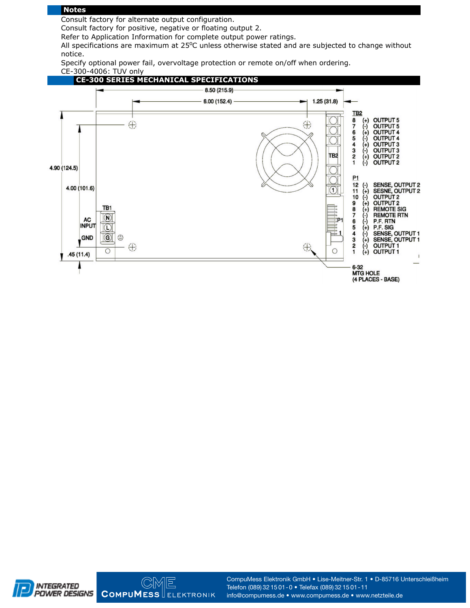#### **Notes**

Consult factory for alternate output configuration.

Consult factory for positive, negative or floating output 2.

Refer to Application Information for complete output power ratings.

All specifications are maximum at  $25^{\circ}$ C unless otherwise stated and are subjected to change without notice.

Specify optional power fail, overvoltage protection or remote on/off when ordering. CE-300-4006: TUV only



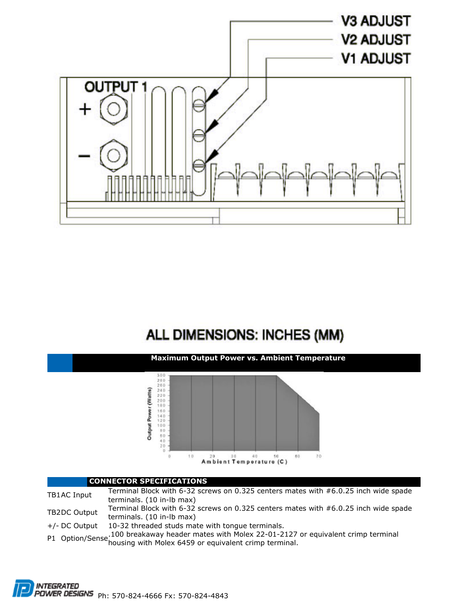

# ALL DIMENSIONS: INCHES (MM)



#### **CONNECTOR SPECIFICATIONS**

Terminal Block with 6-32 screws on 0.325 centers mates with  $#6.0.25$  inch wide spade<br>terminals. (10 in-lb max) TB2DC Output Terminal Block with 6-32 screws on 0.325 centers mates with #6.0.25 inch wide spade terminals. (10 in-lb max)

+/- DC Output 10-32 threaded studs mate with tongue terminals.

...<br>100 breakaway header mates with Molex 22-01-2127 or equivalent crimp terminal P1 Option/Sense housing with Molex 6459 or equivalent crimp terminal.